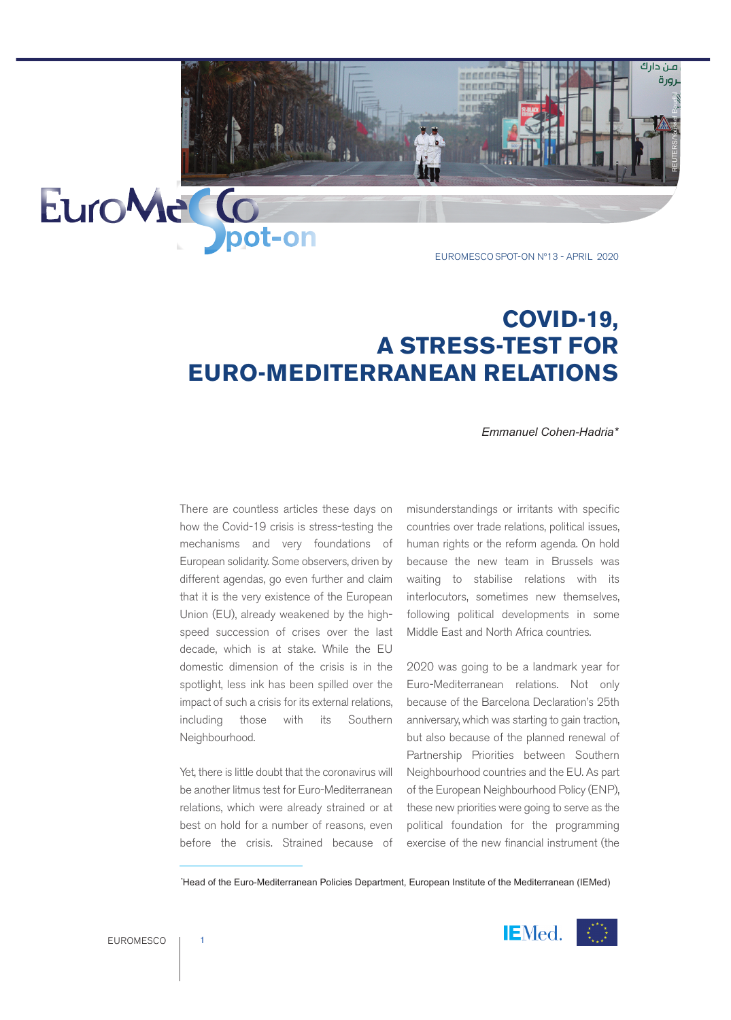EUROMESCO SPOT-ON Nº13 - APRIL 2020

TEEEEEE TURKER

REUTERS/Youssef Boudlal

فين دارك لرورة

## **COVID-19, A STRESS-TEST FOR EURO-MEDITERRANEAN RELATIONS**

*Emmanuel Cohen-Hadria\**

There are countless articles these days on how the Covid-19 crisis is stress-testing the mechanisms and very foundations of European solidarity. Some observers, driven by different agendas, go even further and claim that it is the very existence of the European Union (EU), already weakened by the highspeed succession of crises over the last decade, which is at stake. While the EU domestic dimension of the crisis is in the spotlight, less ink has been spilled over the impact of such a crisis for its external relations, including those with its Southern Neighbourhood.

**Dipot-on** 

Yet, there is little doubt that the coronavirus will be another litmus test for Euro-Mediterranean relations, which were already strained or at best on hold for a number of reasons, even before the crisis. Strained because of misunderstandings or irritants with specific countries over trade relations, political issues, human rights or the reform agenda. On hold because the new team in Brussels was waiting to stabilise relations with its interlocutors, sometimes new themselves, following political developments in some Middle East and North Africa countries.

2020 was going to be a landmark year for Euro-Mediterranean relations. Not only because of the Barcelona Declaration's 25th anniversary, which was starting to gain traction, but also because of the planned renewal of Partnership Priorities between Southern Neighbourhood countries and the EU. As part of the European Neighbourhood Policy (ENP), these new priorities were going to serve as the political foundation for the programming exercise of the new financial instrument (the

\* Head of the Euro-Mediterranean Policies Department, European Institute of the Mediterranean (IEMed)



EuroMa<sup>c</sup>Co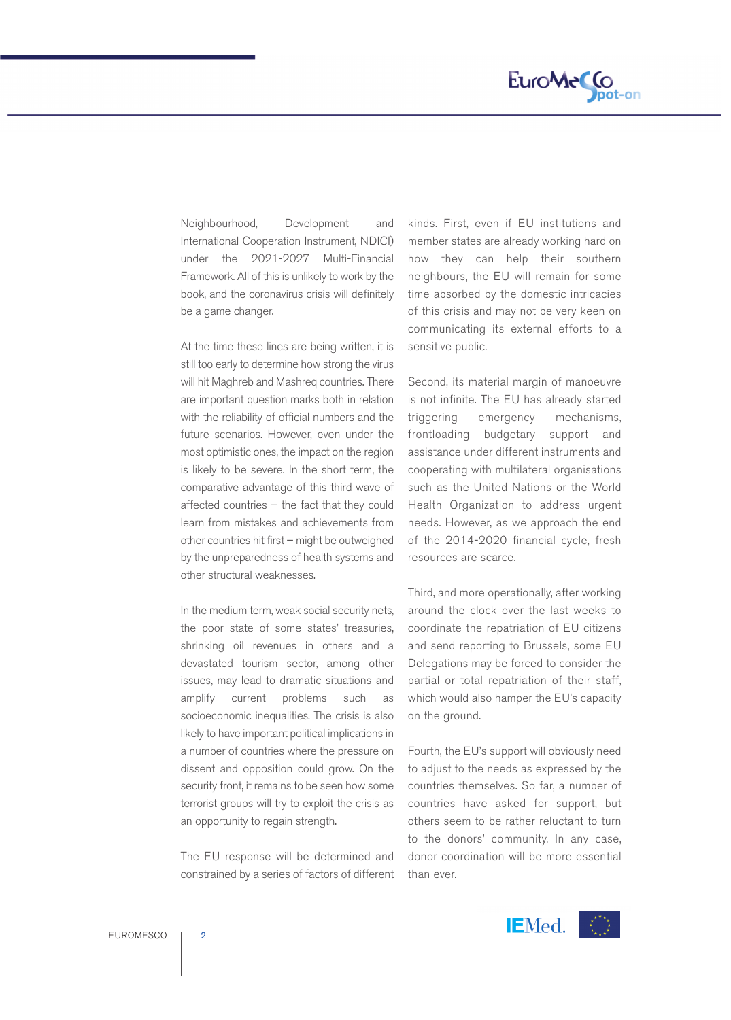

Neighbourhood, Development and International Cooperation Instrument, NDICI) under the 2021-2027 Multi-Financial Framework. All of this is unlikely to work by the book, and the coronavirus crisis will definitely be a game changer.

At the time these lines are being written, it is still too early to determine how strong the virus will hit Maghreb and Mashreq countries. There are important question marks both in relation with the reliability of official numbers and the future scenarios. However, even under the most optimistic ones, the impact on the region is likely to be severe. In the short term, the comparative advantage of this third wave of affected countries – the fact that they could learn from mistakes and achievements from other countries hit first – might be outweighed by the unpreparedness of health systems and other structural weaknesses.

In the medium term, weak social security nets, the poor state of some states' treasuries, shrinking oil revenues in others and a devastated tourism sector, among other issues, may lead to dramatic situations and amplify current problems such as socioeconomic inequalities. The crisis is also likely to have important political implications in a number of countries where the pressure on dissent and opposition could grow. On the security front, it remains to be seen how some terrorist groups will try to exploit the crisis as an opportunity to regain strength.

The EU response will be determined and constrained by a series of factors of different kinds. First, even if EU institutions and member states are already working hard on how they can help their southern neighbours, the EU will remain for some time absorbed by the domestic intricacies of this crisis and may not be very keen on communicating its external efforts to a sensitive public.

Second, its material margin of manoeuvre is not infinite. The EU has already started triggering emergency mechanisms, frontloading budgetary support and assistance under different instruments and cooperating with multilateral organisations such as the United Nations or the World Health Organization to address urgent needs. However, as we approach the end of the 2014-2020 financial cycle, fresh resources are scarce.

Third, and more operationally, after working around the clock over the last weeks to coordinate the repatriation of EU citizens and send reporting to Brussels, some EU Delegations may be forced to consider the partial or total repatriation of their staff, which would also hamper the EU's capacity on the ground.

Fourth, the EU's support will obviously need to adjust to the needs as expressed by the countries themselves. So far, a number of countries have asked for support, but others seem to be rather reluctant to turn to the donors' community. In any case, donor coordination will be more essential than ever.